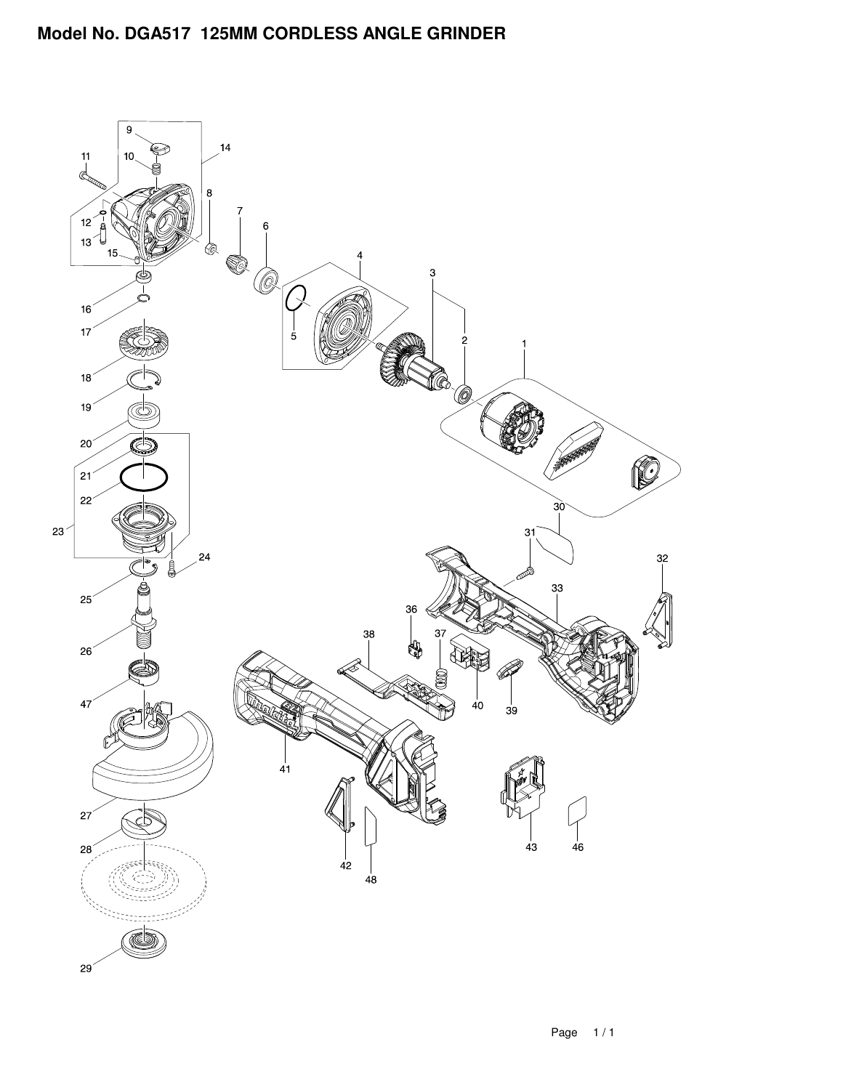## **Model No. DGA517 125MM CORDLESS ANGLE GRINDER**

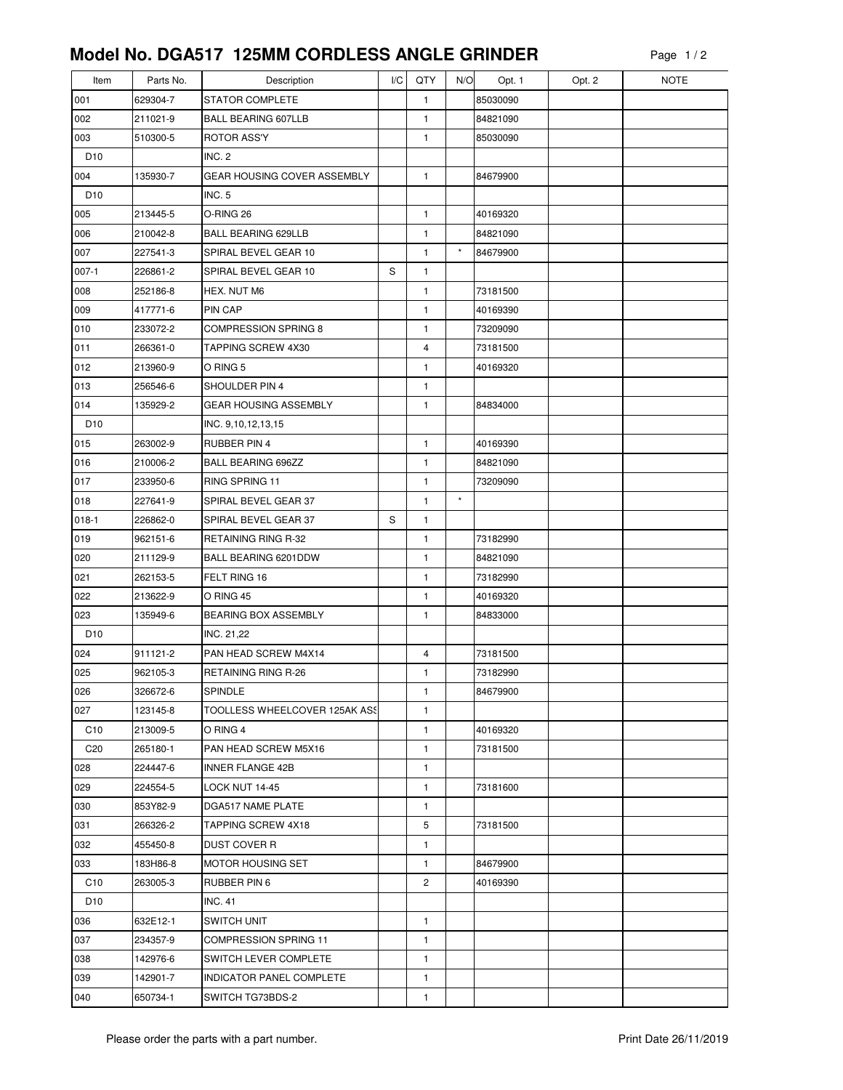## **Model No. DGA517 125MM CORDLESS ANGLE GRINDER**

| Item            | Parts No. | Description                        | I/C | QTY            | N/O     | Opt. 1   | Opt. 2 | <b>NOTE</b> |
|-----------------|-----------|------------------------------------|-----|----------------|---------|----------|--------|-------------|
| 001             | 629304-7  | <b>STATOR COMPLETE</b>             |     | 1              |         | 85030090 |        |             |
| 002             | 211021-9  | <b>BALL BEARING 607LLB</b>         |     | $\mathbf{1}$   |         | 84821090 |        |             |
| 003             | 510300-5  | ROTOR ASS'Y                        |     | 1              |         | 85030090 |        |             |
| D <sub>10</sub> |           | INC. 2                             |     |                |         |          |        |             |
| 004             | 135930-7  | <b>GEAR HOUSING COVER ASSEMBLY</b> |     | $\mathbf{1}$   |         | 84679900 |        |             |
| D <sub>10</sub> |           | <b>INC. 5</b>                      |     |                |         |          |        |             |
| 005             | 213445-5  | O-RING 26                          |     | $\mathbf{1}$   |         | 40169320 |        |             |
| 006             | 210042-8  | <b>BALL BEARING 629LLB</b>         |     | 1              |         | 84821090 |        |             |
| 007             | 227541-3  | SPIRAL BEVEL GEAR 10               |     | $\mathbf{1}$   | $\star$ | 84679900 |        |             |
| $007-1$         | 226861-2  | SPIRAL BEVEL GEAR 10               | S   | $\mathbf{1}$   |         |          |        |             |
| 008             | 252186-8  | HEX. NUT M6                        |     | 1              |         | 73181500 |        |             |
| 009             | 417771-6  | PIN CAP                            |     | 1              |         | 40169390 |        |             |
| 010             | 233072-2  | <b>COMPRESSION SPRING 8</b>        |     | 1              |         | 73209090 |        |             |
| 011             | 266361-0  | <b>TAPPING SCREW 4X30</b>          |     | $\overline{4}$ |         | 73181500 |        |             |
| 012             | 213960-9  | O RING 5                           |     | 1              |         | 40169320 |        |             |
| 013             | 256546-6  | SHOULDER PIN 4                     |     | 1              |         |          |        |             |
| 014             | 135929-2  | GEAR HOUSING ASSEMBLY              |     | 1              |         | 84834000 |        |             |
| D <sub>10</sub> |           | INC. 9,10,12,13,15                 |     |                |         |          |        |             |
| 015             | 263002-9  | <b>RUBBER PIN 4</b>                |     | $\mathbf{1}$   |         | 40169390 |        |             |
| 016             | 210006-2  | <b>BALL BEARING 696ZZ</b>          |     | 1              |         | 84821090 |        |             |
| 017             | 233950-6  | RING SPRING 11                     |     | 1              |         | 73209090 |        |             |
| 018             | 227641-9  | SPIRAL BEVEL GEAR 37               |     | 1              | $\star$ |          |        |             |
| $018-1$         | 226862-0  | SPIRAL BEVEL GEAR 37               | S   | $\mathbf{1}$   |         |          |        |             |
| 019             | 962151-6  | <b>RETAINING RING R-32</b>         |     | 1              |         | 73182990 |        |             |
| 020             | 211129-9  | BALL BEARING 6201DDW               |     | 1              |         | 84821090 |        |             |
| 021             | 262153-5  | FELT RING 16                       |     | $\mathbf{1}$   |         | 73182990 |        |             |
| 022             | 213622-9  | O RING 45                          |     | 1              |         | 40169320 |        |             |
| 023             | 135949-6  | BEARING BOX ASSEMBLY               |     | 1              |         | 84833000 |        |             |
| D <sub>10</sub> |           | INC. 21,22                         |     |                |         |          |        |             |
| 024             | 911121-2  | PAN HEAD SCREW M4X14               |     | $\overline{4}$ |         | 73181500 |        |             |
| 025             | 962105-3  | RETAINING RING R-26                |     | 1              |         | 73182990 |        |             |
| 026             | 326672-6  | SPINDLE                            |     | 1              |         | 84679900 |        |             |
| 027             | 123145-8  | TOOLLESS WHEELCOVER 125AK ASS      |     | 1              |         |          |        |             |
| C <sub>10</sub> | 213009-5  | O RING 4                           |     | 1              |         | 40169320 |        |             |
| C <sub>20</sub> | 265180-1  | PAN HEAD SCREW M5X16               |     | 1              |         | 73181500 |        |             |
| 028             | 224447-6  | <b>INNER FLANGE 42B</b>            |     | 1              |         |          |        |             |
| 029             | 224554-5  | LOCK NUT 14-45                     |     | 1              |         | 73181600 |        |             |
| 030             | 853Y82-9  | DGA517 NAME PLATE                  |     | 1              |         |          |        |             |
| 031             | 266326-2  | TAPPING SCREW 4X18                 |     | 5              |         | 73181500 |        |             |
| 032             | 455450-8  | <b>DUST COVER R</b>                |     | 1              |         |          |        |             |
| 033             | 183H86-8  | <b>MOTOR HOUSING SET</b>           |     | 1              |         | 84679900 |        |             |
| C <sub>10</sub> | 263005-3  | RUBBER PIN 6                       |     | $\overline{c}$ |         | 40169390 |        |             |
| D <sub>10</sub> |           | <b>INC. 41</b>                     |     |                |         |          |        |             |
| 036             | 632E12-1  | <b>SWITCH UNIT</b>                 |     | 1              |         |          |        |             |
| 037             | 234357-9  | <b>COMPRESSION SPRING 11</b>       |     | 1              |         |          |        |             |
| 038             | 142976-6  | <b>SWITCH LEVER COMPLETE</b>       |     | 1              |         |          |        |             |
| 039             | 142901-7  | INDICATOR PANEL COMPLETE           |     | 1              |         |          |        |             |
| 040             | 650734-1  | SWITCH TG73BDS-2                   |     | 1              |         |          |        |             |